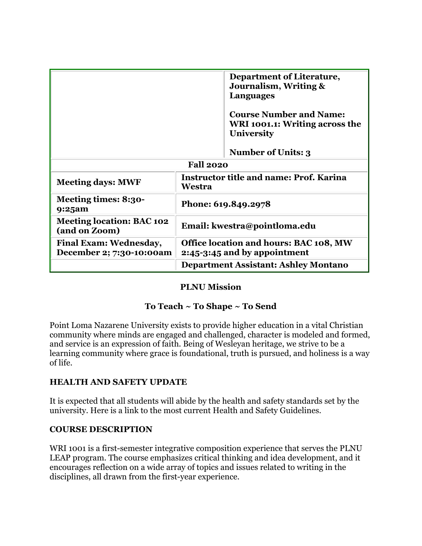|                                                           | Department of Literature,<br>Journalism, Writing &<br><b>Languages</b>                                             |  |
|-----------------------------------------------------------|--------------------------------------------------------------------------------------------------------------------|--|
|                                                           | <b>Course Number and Name:</b><br>WRI 1001.1: Writing across the<br><b>University</b><br><b>Number of Units: 3</b> |  |
| <b>Fall 2020</b>                                          |                                                                                                                    |  |
| <b>Meeting days: MWF</b>                                  | <b>Instructor title and name: Prof. Karina</b><br>Westra                                                           |  |
| Meeting times: 8:30-<br>9:25am                            | Phone: 619.849.2978                                                                                                |  |
| <b>Meeting location: BAC 102</b><br>(and on Zoom)         | Email: kwestra@pointloma.edu                                                                                       |  |
| <b>Final Exam: Wednesday,</b><br>December 2; 7:30-10:00am | Office location and hours: BAC 108, MW<br>2:45-3:45 and by appointment                                             |  |
|                                                           | <b>Department Assistant: Ashley Montano</b>                                                                        |  |

## **PLNU Mission**

## **To Teach ~ To Shape ~ To Send**

Point Loma Nazarene University exists to provide higher education in a vital Christian community where minds are engaged and challenged, character is modeled and formed, and service is an expression of faith. Being of Wesleyan heritage, we strive to be a learning community where grace is foundational, truth is pursued, and holiness is a way of life.

#### **HEALTH AND SAFETY UPDATE**

It is expected that all students will abide by the health and safety standards set by the university. Here is a link to the most current Health and Safety Guidelines.

#### **COURSE DESCRIPTION**

WRI 1001 is a first-semester integrative composition experience that serves the PLNU LEAP program. The course emphasizes critical thinking and idea development, and it encourages reflection on a wide array of topics and issues related to writing in the disciplines, all drawn from the first-year experience.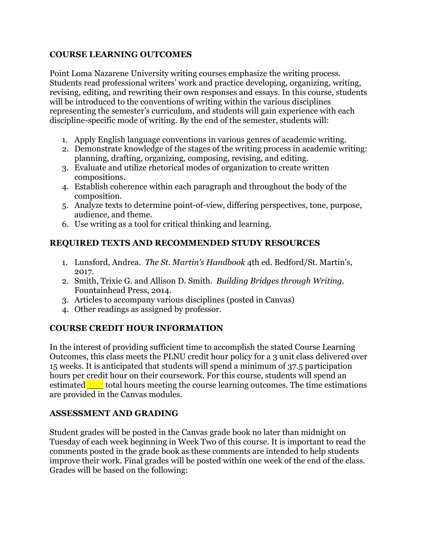## **COURSE LEARNING OUTCOMES**

Point Loma Nazarene University writing courses emphasize the writing process. Students read professional writers' work and practice developing, organizing, writing, revising, editing, and rewriting their own responses and essays. In this course, students will be introduced to the conventions of writing within the various disciplines representing the semester's curriculum, and students will gain experience with each discipline-specific mode of writing. By the end of the semester, students will:

- 1. Apply English language conventions in various genres of academic writing.
- 2. Demonstrate knowledge of the stages of the writing process in academic writing: planning, drafting, organizing, composing, revising, and editing.
- 3. Evaluate and utilize rhetorical modes of organization to create written compositions.
- 4. Establish coherence within each paragraph and throughout the body of the composition.
- 5. Analyze texts to determine point-of-view, differing perspectives, tone, purpose, audience, and theme.
- 6. Use writing as a tool for critical thinking and learning.

## **REQUIRED TEXTS AND RECOMMENDED STUDY RESOURCES**

- 1. Lunsford, Andrea. *The St. Martin's Handbook* 4th ed. Bedford/St. Martin's, 2017.
- 2. Smith, Trixie G. and Allison D. Smith. *Building Bridges through Writing.*  Fountainhead Press, 2014.
- 3. Articles to accompany various disciplines (posted in Canvas)
- 4. Other readings as assigned by professor.

# **COURSE CREDIT HOUR INFORMATION**

In the interest of providing sufficient time to accomplish the stated Course Learning Outcomes, this class meets the PLNU credit hour policy for a 3 unit class delivered over 15 weeks. It is anticipated that students will spend a minimum of 37.5 participation hours per credit hour on their coursework. For this course, students will spend an estimated total hours meeting the course learning outcomes. The time estimations are provided in the Canvas modules.

## **ASSESSMENT AND GRADING**

Student grades will be posted in the Canvas grade book no later than midnight on Tuesday of each week beginning in Week Two of this course. It is important to read the comments posted in the grade book as these comments are intended to help students improve their work. Final grades will be posted within one week of the end of the class. Grades will be based on the following: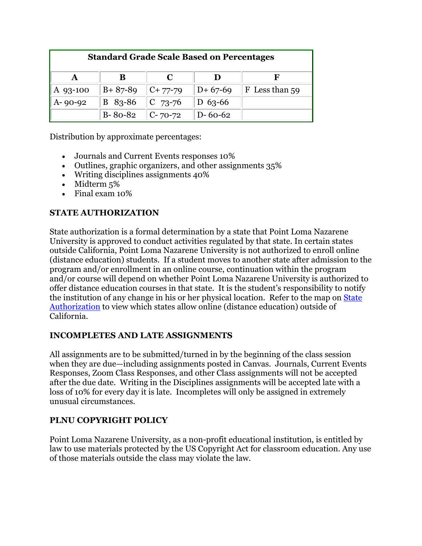| <b>Standard Grade Scale Based on Percentages</b> |                             |            |               |                |
|--------------------------------------------------|-----------------------------|------------|---------------|----------------|
|                                                  |                             |            |               |                |
| A 93-100                                         | $B + 87 - 89$ $C + 77 - 79$ |            | $D+67-69$     | F Less than 59 |
| $A - 90 - 92$                                    | $B$ 83-86                   | $ C 73-76$ | D $63-66$     |                |
|                                                  | B-80-82   C-70-72           |            | $D - 60 - 62$ |                |

Distribution by approximate percentages:

- Journals and Current Events responses 10%
- Outlines, graphic organizers, and other assignments 35%
- Writing disciplines assignments 40%
- Midterm 5%
- Final exam 10%

## **STATE AUTHORIZATION**

State authorization is a formal determination by a state that Point Loma Nazarene University is approved to conduct activities regulated by that state. In certain states outside California, Point Loma Nazarene University is not authorized to enroll online (distance education) students. If a student moves to another state after admission to the program and/or enrollment in an online course, continuation within the program and/or course will depend on whether Point Loma Nazarene University is authorized to offer distance education courses in that state. It is the student's responsibility to notify the institution of any change in his or her physical location. Refer to the map on [State](https://www.pointloma.edu/offices/office-institutional-effectiveness-research/disclosures)  [Authorization](https://www.pointloma.edu/offices/office-institutional-effectiveness-research/disclosures) to view which states allow online (distance education) outside of California.

## **INCOMPLETES AND LATE ASSIGNMENTS**

All assignments are to be submitted/turned in by the beginning of the class session when they are due—including assignments posted in Canvas. Journals, Current Events Responses, Zoom Class Responses, and other Class assignments will not be accepted after the due date. Writing in the Disciplines assignments will be accepted late with a loss of 10% for every day it is late. Incompletes will only be assigned in extremely unusual circumstances.

## **PLNU COPYRIGHT POLICY**

Point Loma Nazarene University, as a non-profit educational institution, is entitled by law to use materials protected by the US Copyright Act for classroom education. Any use of those materials outside the class may violate the law.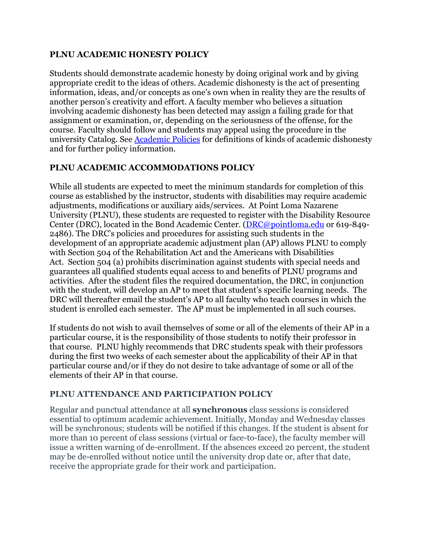#### **PLNU ACADEMIC HONESTY POLICY**

Students should demonstrate academic honesty by doing original work and by giving appropriate credit to the ideas of others. Academic dishonesty is the act of presenting information, ideas, and/or concepts as one's own when in reality they are the results of another person's creativity and effort. A faculty member who believes a situation involving academic dishonesty has been detected may assign a failing grade for that assignment or examination, or, depending on the seriousness of the offense, for the course. Faculty should follow and students may appeal using the procedure in the university Catalog. See **Academic Policies** for definitions of kinds of academic dishonesty and for further policy information.

#### **PLNU ACADEMIC ACCOMMODATIONS POLICY**

While all students are expected to meet the minimum standards for completion of this course as established by the instructor, students with disabilities may require academic adjustments, modifications or auxiliary aids/services. At Point Loma Nazarene University (PLNU), these students are requested to register with the Disability Resource Center (DRC), located in the Bond Academic Center. [\(DRC@pointloma.edu](mailto:DRC@pointloma.edu) or 619-849- 2486). The DRC's policies and procedures for assisting such students in the development of an appropriate academic adjustment plan (AP) allows PLNU to comply with Section 504 of the Rehabilitation Act and the Americans with Disabilities Act. Section 504 (a) prohibits discrimination against students with special needs and guarantees all qualified students equal access to and benefits of PLNU programs and activities. After the student files the required documentation, the DRC, in conjunction with the student, will develop an AP to meet that student's specific learning needs. The DRC will thereafter email the student's AP to all faculty who teach courses in which the student is enrolled each semester. The AP must be implemented in all such courses.

If students do not wish to avail themselves of some or all of the elements of their AP in a particular course, it is the responsibility of those students to notify their professor in that course. PLNU highly recommends that DRC students speak with their professors during the first two weeks of each semester about the applicability of their AP in that particular course and/or if they do not desire to take advantage of some or all of the elements of their AP in that course.

## **PLNU ATTENDANCE AND PARTICIPATION POLICY**

Regular and punctual attendance at all **synchronous** class sessions is considered essential to optimum academic achievement. Initially, Monday and Wednesday classes will be synchronous; students will be notified if this changes. If the student is absent for more than 10 percent of class sessions (virtual or face-to-face), the faculty member will issue a written warning of de-enrollment. If the absences exceed 20 percent, the student may be de-enrolled without notice until the university drop date or, after that date, receive the appropriate grade for their work and participation.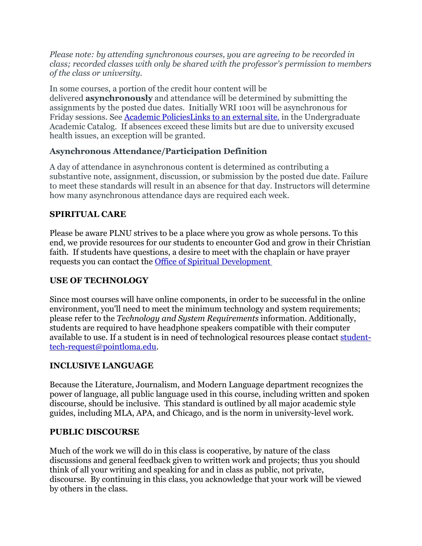*Please note: by attending synchronous courses, you are agreeing to be recorded in class; recorded classes with only be shared with the professor's permission to members of the class or university.*

In some courses, a portion of the credit hour content will be delivered **asynchronously** and attendance will be determined by submitting the assignments by the posted due dates. Initially WRI 1001 will be asynchronous for Friday sessions. See [Academic PoliciesLinks](https://catalog.pointloma.edu/content.php?catoid=46&navoid=2650#Class_Attendance) to an external site. in the Undergraduate Academic Catalog. If absences exceed these limits but are due to university excused health issues, an exception will be granted.

# **Asynchronous Attendance/Participation Definition**

A day of attendance in asynchronous content is determined as contributing a substantive note, assignment, discussion, or submission by the posted due date. Failure to meet these standards will result in an absence for that day. Instructors will determine how many asynchronous attendance days are required each week.

# **SPIRITUAL CARE**

Please be aware PLNU strives to be a place where you grow as whole persons. To this end, we provide resources for our students to encounter God and grow in their Christian faith. If students have questions, a desire to meet with the chaplain or have prayer requests you can contact the [Office of Spiritual Development](https://www.pointloma.edu/offices/spiritual-development)

# **USE OF TECHNOLOGY**

Since most courses will have online components, in order to be successful in the online environment, you'll need to meet the minimum technology and system requirements; please refer to the *Technology and [System Requirements](https://help.pointloma.edu/TDClient/1808/Portal/KB/ArticleDet?ID=108349)* information. Additionally, students are required to have headphone speakers compatible with their computer available to use. If a student is in need of technological resources please contact [student](mailto:student-tech-request@pointloma.edu)[tech-request@pointloma.edu.](mailto:student-tech-request@pointloma.edu)

# **INCLUSIVE LANGUAGE**

Because the Literature, Journalism, and Modern Language department recognizes the power of language, all public language used in this course, including written and spoken discourse, should be inclusive. This standard is outlined by all major academic style guides, including MLA, APA, and Chicago, and is the norm in university-level work.

# **PUBLIC DISCOURSE**

Much of the work we will do in this class is cooperative, by nature of the class discussions and general feedback given to written work and projects; thus you should think of all your writing and speaking for and in class as public, not private, discourse. By continuing in this class, you acknowledge that your work will be viewed by others in the class.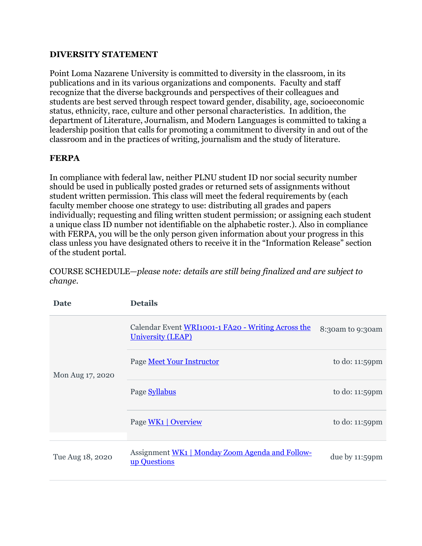#### **DIVERSITY STATEMENT**

Point Loma Nazarene University is committed to diversity in the classroom, in its publications and in its various organizations and components. Faculty and staff recognize that the diverse backgrounds and perspectives of their colleagues and students are best served through respect toward gender, disability, age, socioeconomic status, ethnicity, race, culture and other personal characteristics. In addition, the department of Literature, Journalism, and Modern Languages is committed to taking a leadership position that calls for promoting a commitment to diversity in and out of the classroom and in the practices of writing, journalism and the study of literature.

#### **FERPA**

In compliance with federal law, neither PLNU student ID nor social security number should be used in publically posted grades or returned sets of assignments without student written permission. This class will meet the federal requirements by (each faculty member choose one strategy to use: distributing all grades and papers individually; requesting and filing written student permission; or assigning each student a unique class ID number not identifiable on the alphabetic roster.). Also in compliance with FERPA, you will be the only person given information about your progress in this class unless you have designated others to receive it in the "Information Release" section of the student portal.

**Date Details** Mon Aug 17, 2020 Calendar Event WRI1001-1 FA20 - [Writing Across the](https://canvas.pointloma.edu/calendar?event_id=55471&include_contexts=course_52493)  [University \(LEAP\)](https://canvas.pointloma.edu/calendar?event_id=55471&include_contexts=course_52493) 8:30am to 9:30am Page [Meet Your Instructor](https://canvas.pointloma.edu/courses/52493/pages/meet-your-instructor) to do: 11:59pm Page [Syllabus](https://canvas.pointloma.edu/courses/52493/pages/syllabus) to do: 11:59pm Page [WK1 | Overview](https://canvas.pointloma.edu/courses/52493/pages/wk1-%7C-overview) to do: 11:59pm Tue Aug 18, 2020 <br>Assignment <u>WK1 | Monday Zoom Agenda and Follow-</u><br>up Questions due by  $11:59$ pm

COURSE SCHEDULE—*please note: details are still being finalized and are subject to change.*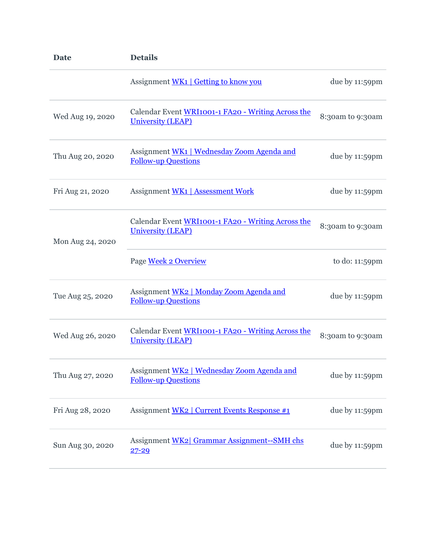| <b>Date</b>      | <b>Details</b>                                                                 |                  |
|------------------|--------------------------------------------------------------------------------|------------------|
|                  | Assignment WK1   Getting to know you                                           | due by 11:59pm   |
| Wed Aug 19, 2020 | Calendar Event WRI1001-1 FA20 - Writing Across the<br><b>University (LEAP)</b> | 8:30am to 9:30am |
| Thu Aug 20, 2020 | Assignment WK1   Wednesday Zoom Agenda and<br><b>Follow-up Questions</b>       | due by 11:59pm   |
| Fri Aug 21, 2020 | <b>Assignment WK1   Assessment Work</b>                                        | due by 11:59pm   |
| Mon Aug 24, 2020 | Calendar Event WRI1001-1 FA20 - Writing Across the<br><b>University (LEAP)</b> | 8:30am to 9:30am |
|                  | Page Week 2 Overview                                                           | to do: 11:59pm   |
| Tue Aug 25, 2020 | Assignment WK2   Monday Zoom Agenda and<br><b>Follow-up Questions</b>          | due by 11:59pm   |
| Wed Aug 26, 2020 | Calendar Event WRI1001-1 FA20 - Writing Across the<br><b>University (LEAP)</b> | 8:30am to 9:30am |
| Thu Aug 27, 2020 | Assignment WK2   Wednesday Zoom Agenda and<br><b>Follow-up Questions</b>       | due by 11:59pm   |
| Fri Aug 28, 2020 | Assignment WK2   Current Events Response #1                                    | due by 11:59pm   |
| Sun Aug 30, 2020 | Assignment WK2 Grammar Assignment--SMH chs<br>$27 - 29$                        | due by 11:59pm   |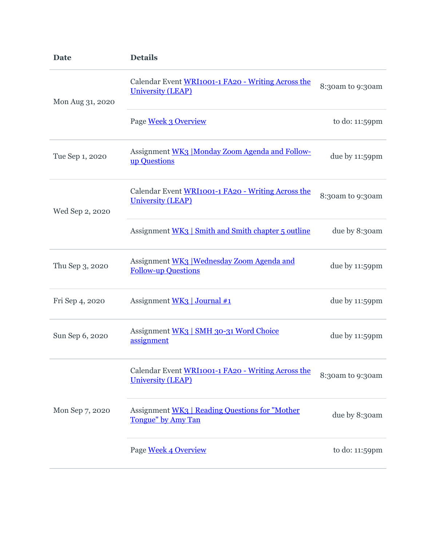| <b>Date</b>      | <b>Details</b>                                                                 |                  |
|------------------|--------------------------------------------------------------------------------|------------------|
| Mon Aug 31, 2020 | Calendar Event WRI1001-1 FA20 - Writing Across the<br><b>University (LEAP)</b> | 8:30am to 9:30am |
|                  | Page Week 3 Overview                                                           | to do: 11:59pm   |
| Tue Sep 1, 2020  | Assignment WK3 Monday Zoom Agenda and Follow-<br>up Questions                  | due by 11:59pm   |
| Wed Sep 2, 2020  | Calendar Event WRI1001-1 FA20 - Writing Across the<br><b>University (LEAP)</b> | 8:30am to 9:30am |
|                  | Assignment WK3   Smith and Smith chapter 5 outline                             | due by 8:30am    |
| Thu Sep 3, 2020  | Assignment WK3   Wednesday Zoom Agenda and<br><b>Follow-up Questions</b>       | due by 11:59pm   |
| Fri Sep 4, 2020  | Assignment WK3 Journal #1                                                      | due by 11:59pm   |
| Sun Sep 6, 2020  | Assignment WK3   SMH 30-31 Word Choice<br>assignment                           | due by 11:59pm   |
|                  | Calendar Event WRI1001-1 FA20 - Writing Across the<br><b>University (LEAP)</b> | 8:30am to 9:30am |
| Mon Sep 7, 2020  | Assignment WK3   Reading Questions for "Mother<br>Tongue" by Amy Tan           | due by 8:30am    |
|                  | Page Week 4 Overview                                                           | to do: 11:59pm   |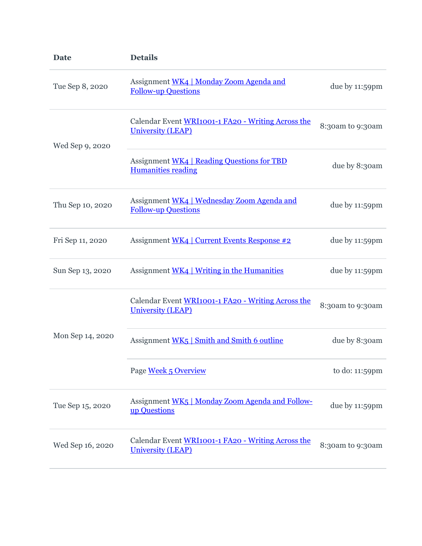| <b>Date</b>      | <b>Details</b>                                                                 |                  |
|------------------|--------------------------------------------------------------------------------|------------------|
| Tue Sep 8, 2020  | Assignment WK4   Monday Zoom Agenda and<br><b>Follow-up Questions</b>          | due by 11:59pm   |
| Wed Sep 9, 2020  | Calendar Event WRI1001-1 FA20 - Writing Across the<br><b>University (LEAP)</b> | 8:30am to 9:30am |
|                  | Assignment WK4   Reading Questions for TBD<br><b>Humanities reading</b>        | due by 8:30am    |
| Thu Sep 10, 2020 | Assignment WK4   Wednesday Zoom Agenda and<br><b>Follow-up Questions</b>       | due by 11:59pm   |
| Fri Sep 11, 2020 | Assignment WK4   Current Events Response #2                                    | due by 11:59pm   |
| Sun Sep 13, 2020 | Assignment WK4   Writing in the Humanities                                     | due by 11:59pm   |
|                  | Calendar Event WRI1001-1 FA20 - Writing Across the<br><b>University (LEAP)</b> | 8:30am to 9:30am |
| Mon Sep 14, 2020 | Assignment WK5   Smith and Smith 6 outline                                     | due by 8:30am    |
|                  | Page Week 5 Overview                                                           | to do: 11:59pm   |
| Tue Sep 15, 2020 | Assignment WK5   Monday Zoom Agenda and Follow-<br>up Questions                | due by 11:59pm   |
| Wed Sep 16, 2020 | Calendar Event WRI1001-1 FA20 - Writing Across the<br><b>University (LEAP)</b> | 8:30am to 9:30am |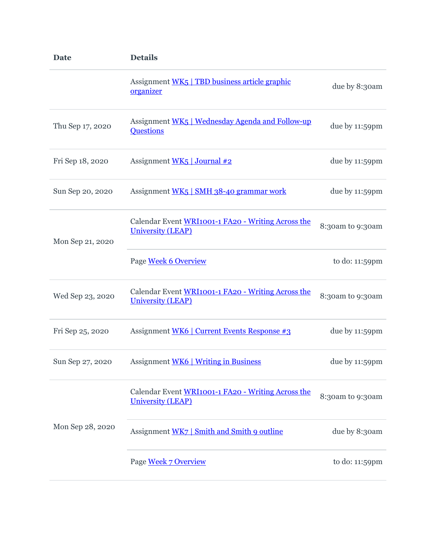| <b>Date</b>      | <b>Details</b>                                                                 |                  |
|------------------|--------------------------------------------------------------------------------|------------------|
|                  | Assignment WK5   TBD business article graphic<br>organizer                     | due by 8:30am    |
| Thu Sep 17, 2020 | Assignment WK5   Wednesday Agenda and Follow-up<br><b>Questions</b>            | due by 11:59pm   |
| Fri Sep 18, 2020 | Assignment WK5   Journal #2                                                    | due by 11:59pm   |
| Sun Sep 20, 2020 | Assignment WK5   SMH 38-40 grammar work                                        | due by 11:59pm   |
| Mon Sep 21, 2020 | Calendar Event WRI1001-1 FA20 - Writing Across the<br><b>University (LEAP)</b> | 8:30am to 9:30am |
|                  | Page Week 6 Overview                                                           | to do: 11:59pm   |
| Wed Sep 23, 2020 | Calendar Event WRI1001-1 FA20 - Writing Across the<br><b>University (LEAP)</b> | 8:30am to 9:30am |
| Fri Sep 25, 2020 | Assignment WK6   Current Events Response #3                                    | due by 11:59pm   |
| Sun Sep 27, 2020 | Assignment WK6   Writing in Business                                           | due by 11:59pm   |
|                  | Calendar Event WRI1001-1 FA20 - Writing Across the<br><b>University (LEAP)</b> | 8:30am to 9:30am |
| Mon Sep 28, 2020 | Assignment WK7   Smith and Smith 9 outline                                     | due by 8:30am    |
|                  | Page Week 7 Overview                                                           | to do: 11:59pm   |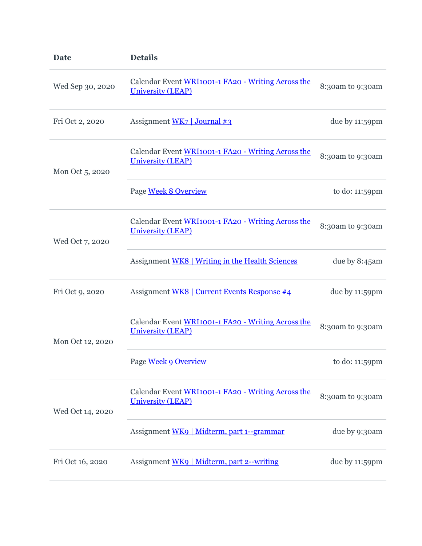| <b>Date</b>      | <b>Details</b>                                                                 |                  |
|------------------|--------------------------------------------------------------------------------|------------------|
| Wed Sep 30, 2020 | Calendar Event WRI1001-1 FA20 - Writing Across the<br><b>University (LEAP)</b> | 8:30am to 9:30am |
| Fri Oct 2, 2020  | Assignment $WK7$ Journal #3                                                    | due by 11:59pm   |
| Mon Oct 5, 2020  | Calendar Event WRI1001-1 FA20 - Writing Across the<br><b>University (LEAP)</b> | 8:30am to 9:30am |
|                  | Page Week 8 Overview                                                           | to do: 11:59pm   |
| Wed Oct 7, 2020  | Calendar Event WRI1001-1 FA20 - Writing Across the<br><b>University (LEAP)</b> | 8:30am to 9:30am |
|                  | Assignment WK8   Writing in the Health Sciences                                | due by 8:45am    |
| Fri Oct 9, 2020  | Assignment WK8   Current Events Response #4                                    | due by 11:59pm   |
| Mon Oct 12, 2020 | Calendar Event WRI1001-1 FA20 - Writing Across the<br><b>University (LEAP)</b> | 8:30am to 9:30am |
|                  | Page Week 9 Overview                                                           | to do: 11:59pm   |
| Wed Oct 14, 2020 | Calendar Event WRI1001-1 FA20 - Writing Across the<br><b>University (LEAP)</b> | 8:30am to 9:30am |
|                  | Assignment WK9   Midterm, part 1--grammar                                      | due by 9:30am    |
| Fri Oct 16, 2020 | Assignment WK9   Midterm, part 2--writing                                      | due by 11:59pm   |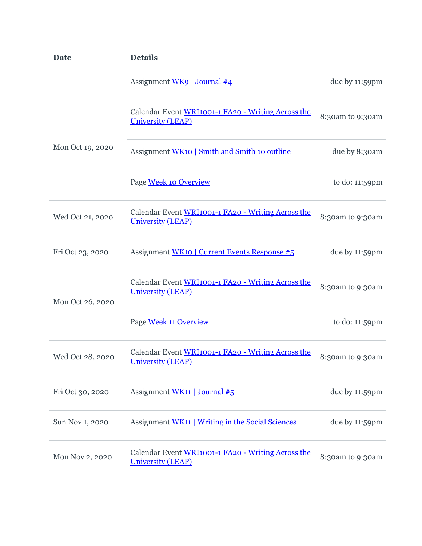| <b>Date</b>      | <b>Details</b>                                                                 |                  |
|------------------|--------------------------------------------------------------------------------|------------------|
|                  | Assignment WK9   Journal #4                                                    | due by 11:59pm   |
|                  | Calendar Event WRI1001-1 FA20 - Writing Across the<br><b>University (LEAP)</b> | 8:30am to 9:30am |
| Mon Oct 19, 2020 | Assignment WK10   Smith and Smith 10 outline                                   | due by 8:30am    |
|                  | Page Week 10 Overview                                                          | to do: 11:59pm   |
| Wed Oct 21, 2020 | Calendar Event WRI1001-1 FA20 - Writing Across the<br><b>University (LEAP)</b> | 8:30am to 9:30am |
| Fri Oct 23, 2020 | Assignment WK10   Current Events Response #5                                   | due by 11:59pm   |
| Mon Oct 26, 2020 | Calendar Event WRI1001-1 FA20 - Writing Across the<br><b>University (LEAP)</b> | 8:30am to 9:30am |
|                  | Page Week 11 Overview                                                          | to do: 11:59pm   |
| Wed Oct 28, 2020 | Calendar Event WRI1001-1 FA20 - Writing Across the<br><b>University (LEAP)</b> | 8:30am to 9:30am |
| Fri Oct 30, 2020 | Assignment WK11   Journal $#5$                                                 | due by 11:59pm   |
| Sun Nov 1, 2020  | Assignment WK11   Writing in the Social Sciences                               | due by 11:59pm   |
| Mon Nov 2, 2020  | Calendar Event WRI1001-1 FA20 - Writing Across the<br><b>University (LEAP)</b> | 8:30am to 9:30am |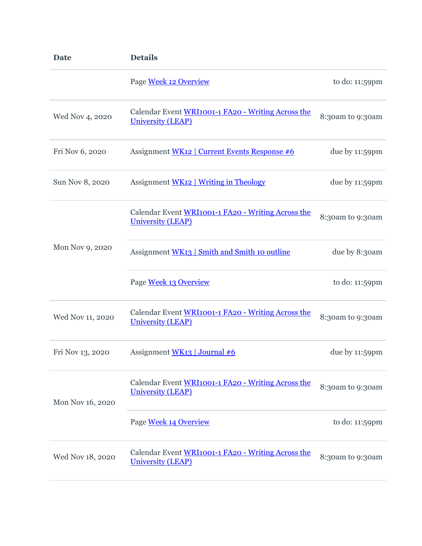| <b>Date</b>      | <b>Details</b>                                                                 |                  |
|------------------|--------------------------------------------------------------------------------|------------------|
|                  | Page Week 12 Overview                                                          | to do: 11:59pm   |
| Wed Nov 4, 2020  | Calendar Event WRI1001-1 FA20 - Writing Across the<br><b>University (LEAP)</b> | 8:30am to 9:30am |
| Fri Nov 6, 2020  | Assignment WK12   Current Events Response #6                                   | due by 11:59pm   |
| Sun Nov 8, 2020  | Assignment WK12   Writing in Theology                                          | due by 11:59pm   |
|                  | Calendar Event WRI1001-1 FA20 - Writing Across the<br><b>University (LEAP)</b> | 8:30am to 9:30am |
| Mon Nov 9, 2020  | Assignment WK13   Smith and Smith 10 outline                                   | due by 8:30am    |
|                  | Page Week 13 Overview                                                          | to do: 11:59pm   |
| Wed Nov 11, 2020 | Calendar Event WRI1001-1 FA20 - Writing Across the<br><b>University (LEAP)</b> | 8:30am to 9:30am |
| Fri Nov 13, 2020 | Assignment WK13   Journal #6                                                   | due by 11:59pm   |
| Mon Nov 16, 2020 | Calendar Event WRI1001-1 FA20 - Writing Across the<br><b>University (LEAP)</b> | 8:30am to 9:30am |
|                  | Page Week 14 Overview                                                          | to do: 11:59pm   |
| Wed Nov 18, 2020 | Calendar Event WRI1001-1 FA20 - Writing Across the<br><b>University (LEAP)</b> | 8:30am to 9:30am |